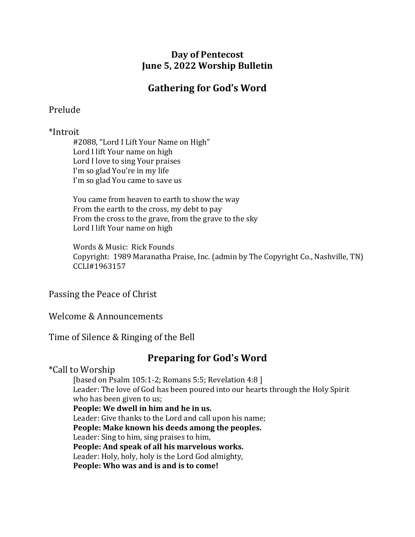## **Day of Pentecost June 5, 2022 Worship Bulletin**

# **Gathering for God**'**s Word**

## Prelude

## \*Introit

#2088, "Lord I Lift Your Name on High" Lord I lift Your name on high Lord I love to sing Your praises I'm so glad You're in my life I'm so glad You came to save us

You came from heaven to earth to show the way From the earth to the cross, my debt to pay From the cross to the grave, from the grave to the sky Lord I lift Your name on high

Words & Music: Rick Founds Copyright: 1989 Maranatha Praise, Inc. (admin by The Copyright Co., Nashville, TN) CCLI#1963157

Passing the Peace of Christ

## Welcome & Announcements

## Time of Silence & Ringing of the Bell

## **Preparing for God's Word**

\*Call to Worship

[based on Psalm 105:1-2; Romans 5:5; Revelation 4:8 ] Leader: The love of God has been poured into our hearts through the Holy Spirit who has been given to us; **People: We dwell in him and he in us.** Leader: Give thanks to the Lord and call upon his name; **People: Make known his deeds among the peoples.**

Leader: Sing to him, sing praises to him,

**People: And speak of all his marvelous works.**

Leader: Holy, holy, holy is the Lord God almighty,

**People: Who was and is and is to come!**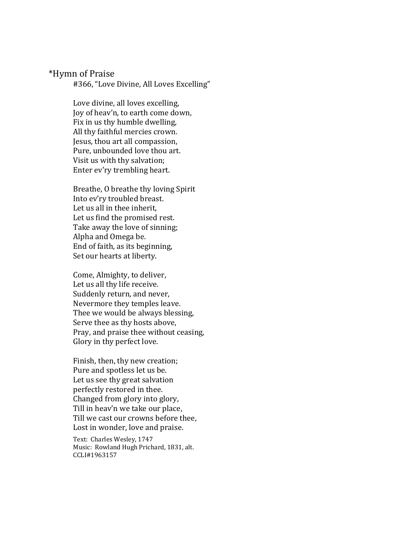#### \*Hymn of Praise

#366, "Love Divine, All Loves Excelling"

Love divine, all loves excelling, Joy of heav'n, to earth come down, Fix in us thy humble dwelling, All thy faithful mercies crown. Jesus, thou art all compassion, Pure, unbounded love thou art. Visit us with thy salvation; Enter ev'ry trembling heart.

Breathe, O breathe thy loving Spirit Into ev'ry troubled breast. Let us all in thee inherit, Let us find the promised rest. Take away the love of sinning; Alpha and Omega be. End of faith, as its beginning, Set our hearts at liberty.

Come, Almighty, to deliver, Let us all thy life receive. Suddenly return, and never, Nevermore they temples leave. Thee we would be always blessing, Serve thee as thy hosts above, Pray, and praise thee without ceasing, Glory in thy perfect love.

Finish, then, thy new creation; Pure and spotless let us be. Let us see thy great salvation perfectly restored in thee. Changed from glory into glory, Till in heav'n we take our place, Till we cast our crowns before thee, Lost in wonder, love and praise.

Text: Charles Wesley, 1747 Music: Rowland Hugh Prichard, 1831, alt. CCLI#1963157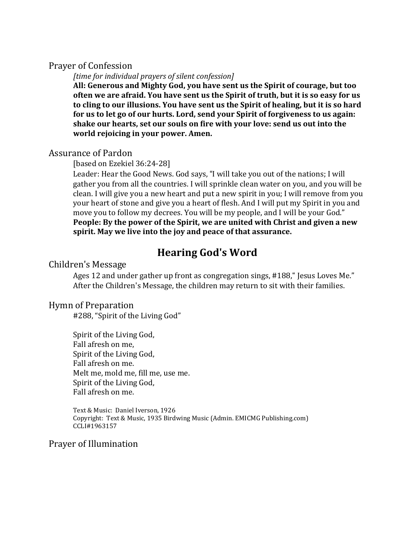#### Prayer of Confession

*[time for individual prayers of silent confession]*

**All: Generous and Mighty God, you have sent us the Spirit of courage, but too often we are afraid. You have sent us the Spirit of truth, but it is so easy for us to cling to our illusions. You have sent us the Spirit of healing, but it is so hard for us to let go of our hurts. Lord, send your Spirit of forgiveness to us again: shake our hearts, set our souls on fire with your love: send us out into the world rejoicing in your power. Amen.**

#### Assurance of Pardon

[based on Ezekiel 36:24-28]

Leader: Hear the Good News. God says, "I will take you out of the nations; I will gather you from all the countries. I will sprinkle clean water on you, and you will be clean. I will give you a new heart and put a new spirit in you; I will remove from you your heart of stone and give you a heart of flesh. And I will put my Spirit in you and move you to follow my decrees. You will be my people, and I will be your God." **People: By the power of the Spirit, we are united with Christ and given a new spirit. May we live into the joy and peace of that assurance.**

# **Hearing God's Word**

### Children's Message

Ages 12 and under gather up front as congregation sings, #188," Jesus Loves Me." After the Children's Message, the children may return to sit with their families.

#### Hymn of Preparation

#288, "Spirit of the Living God"

Spirit of the Living God, Fall afresh on me, Spirit of the Living God, Fall afresh on me. Melt me, mold me, fill me, use me. Spirit of the Living God, Fall afresh on me.

Text & Music: Daniel Iverson, 1926 Copyright: Text & Music, 1935 Birdwing Music (Admin. EMICMG Publishing.com) CCLI#1963157

#### Prayer of Illumination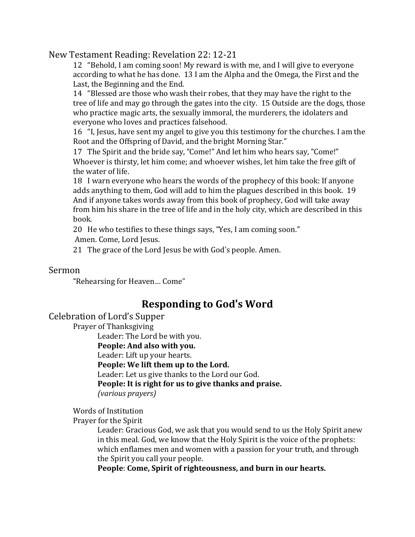New Testament Reading: Revelation 22: 12-21

12 "Behold, I am coming soon! My reward is with me, and I will give to everyone according to what he has done. 13 I am the Alpha and the Omega, the First and the Last, the Beginning and the End.

14 "Blessed are those who wash their robes, that they may have the right to the tree of life and may go through the gates into the city. 15 Outside are the dogs, those who practice magic arts, the sexually immoral, the murderers, the idolaters and everyone who loves and practices falsehood.

16 "I, Jesus, have sent my angel to give you this testimony for the churches. I am the Root and the Offspring of David, and the bright Morning Star."

17 The Spirit and the bride say, "Come!" And let him who hears say, "Come!" Whoever is thirsty, let him come; and whoever wishes, let him take the free gift of the water of life.

18 I warn everyone who hears the words of the prophecy of this book: If anyone adds anything to them, God will add to him the plagues described in this book. 19 And if anyone takes words away from this book of prophecy, God will take away from him his share in the tree of life and in the holy city, which are described in this book.

20 He who testifies to these things says, "Yes, I am coming soon." Amen. Come, Lord Jesus.

21 The grace of the Lord Jesus be with God's people. Amen.

### Sermon

"Rehearsing for Heaven… Come"

# **Responding to God**'**s Word**

Celebration of Lord's Supper

Prayer of Thanksgiving

Leader: The Lord be with you.

**People: And also with you.**

Leader: Lift up your hearts.

**People: We lift them up to the Lord.**

Leader: Let us give thanks to the Lord our God.

**People: It is right for us to give thanks and praise.**

*(various prayers)*

Words of Institution

Prayer for the Spirit

Leader: Gracious God, we ask that you would send to us the Holy Spirit anew in this meal. God, we know that the Holy Spirit is the voice of the prophets: which enflames men and women with a passion for your truth, and through the Spirit you call your people.

**People**: **Come, Spirit of righteousness, and burn in our hearts.**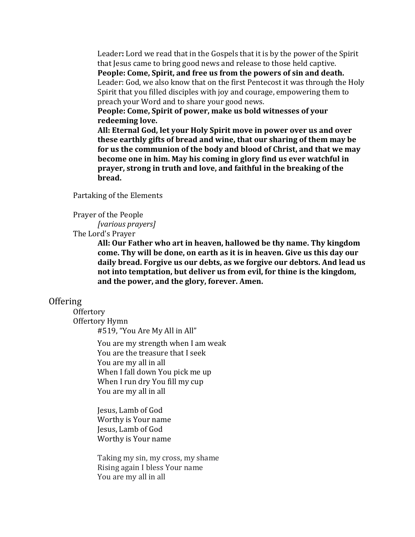Leader**:** Lord we read that in the Gospels that it is by the power of the Spirit that Jesus came to bring good news and release to those held captive. **People: Come, Spirit, and free us from the powers of sin and death.** Leader: God, we also know that on the first Pentecost it was through the Holy Spirit that you filled disciples with joy and courage, empowering them to preach your Word and to share your good news.

**People: Come, Spirit of power, make us bold witnesses of your redeeming love.**

**All: Eternal God, let your Holy Spirit move in power over us and over these earthly gifts of bread and wine, that our sharing of them may be for us the communion of the body and blood of Christ, and that we may become one in him. May his coming in glory find us ever watchful in prayer, strong in truth and love, and faithful in the breaking of the bread.**

Partaking of the Elements

Prayer of the People *[various prayers]* The Lord's Prayer

> **All: Our Father who art in heaven, hallowed be thy name. Thy kingdom come. Thy will be done, on earth as it is in heaven. Give us this day our daily bread. Forgive us our debts, as we forgive our debtors. And lead us not into temptation, but deliver us from evil, for thine is the kingdom, and the power, and the glory, forever. Amen.**

#### Offering

**Offertory** Offertory Hymn #519, "You Are My All in All"

> You are my strength when I am weak You are the treasure that I seek You are my all in all When I fall down You pick me up When I run dry You fill my cup You are my all in all

Jesus, Lamb of God Worthy is Your name Jesus, Lamb of God Worthy is Your name

Taking my sin, my cross, my shame Rising again I bless Your name You are my all in all